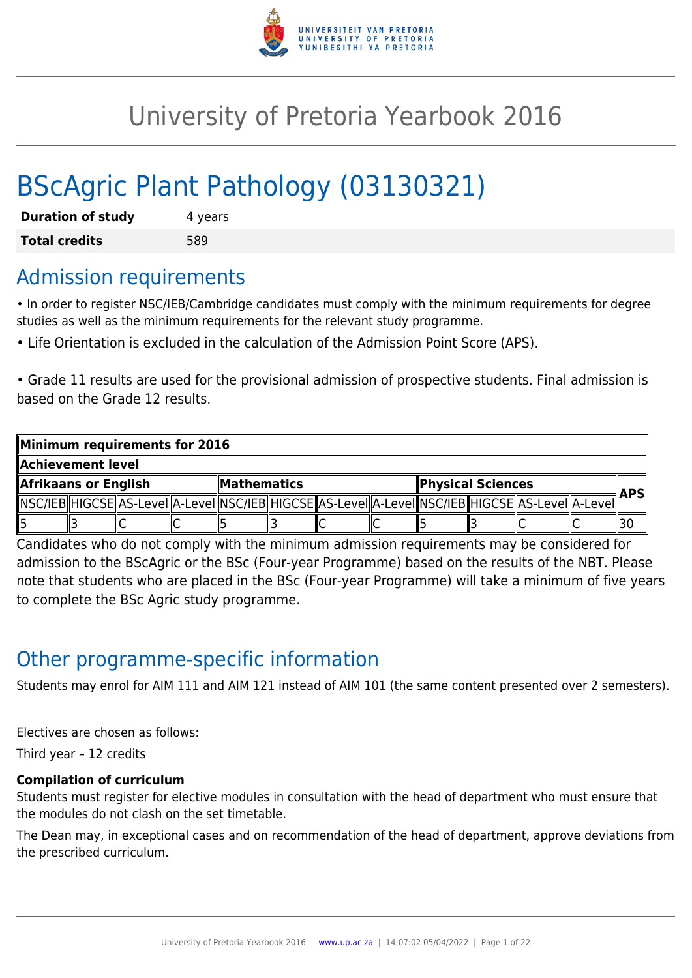

# University of Pretoria Yearbook 2016

# BScAgric Plant Pathology (03130321)

| <b>Duration of study</b> | 4 years |
|--------------------------|---------|
| <b>Total credits</b>     | 589     |

## Admission requirements

• In order to register NSC/IEB/Cambridge candidates must comply with the minimum requirements for degree studies as well as the minimum requirements for the relevant study programme.

• Life Orientation is excluded in the calculation of the Admission Point Score (APS).

• Grade 11 results are used for the provisional admission of prospective students. Final admission is based on the Grade 12 results.

| Minimum requirements for 2016 |  |  |                    |  |  |                          |    |  |     |                                                                                                            |  |    |
|-------------------------------|--|--|--------------------|--|--|--------------------------|----|--|-----|------------------------------------------------------------------------------------------------------------|--|----|
| Achievement level             |  |  |                    |  |  |                          |    |  |     |                                                                                                            |  |    |
| Afrikaans or English          |  |  | <b>Mathematics</b> |  |  | <b>Physical Sciences</b> |    |  | APS |                                                                                                            |  |    |
|                               |  |  |                    |  |  |                          |    |  |     | NSC/IEB  HIGCSE  AS-Level  A-Level  NSC/IEB  HIGCSE  AS-Level  A-Level  NSC/IEB  HIGCSE  AS-Level  A-Level |  |    |
|                               |  |  |                    |  |  |                          | ΙU |  |     |                                                                                                            |  | 30 |

Candidates who do not comply with the minimum admission requirements may be considered for admission to the BScAgric or the BSc (Four-year Programme) based on the results of the NBT. Please note that students who are placed in the BSc (Four-year Programme) will take a minimum of five years to complete the BSc Agric study programme.

## Other programme-specific information

Students may enrol for AIM 111 and AIM 121 instead of AIM 101 (the same content presented over 2 semesters).

Electives are chosen as follows:

Third year – 12 credits

#### **Compilation of curriculum**

Students must register for elective modules in consultation with the head of department who must ensure that the modules do not clash on the set timetable.

The Dean may, in exceptional cases and on recommendation of the head of department, approve deviations from the prescribed curriculum.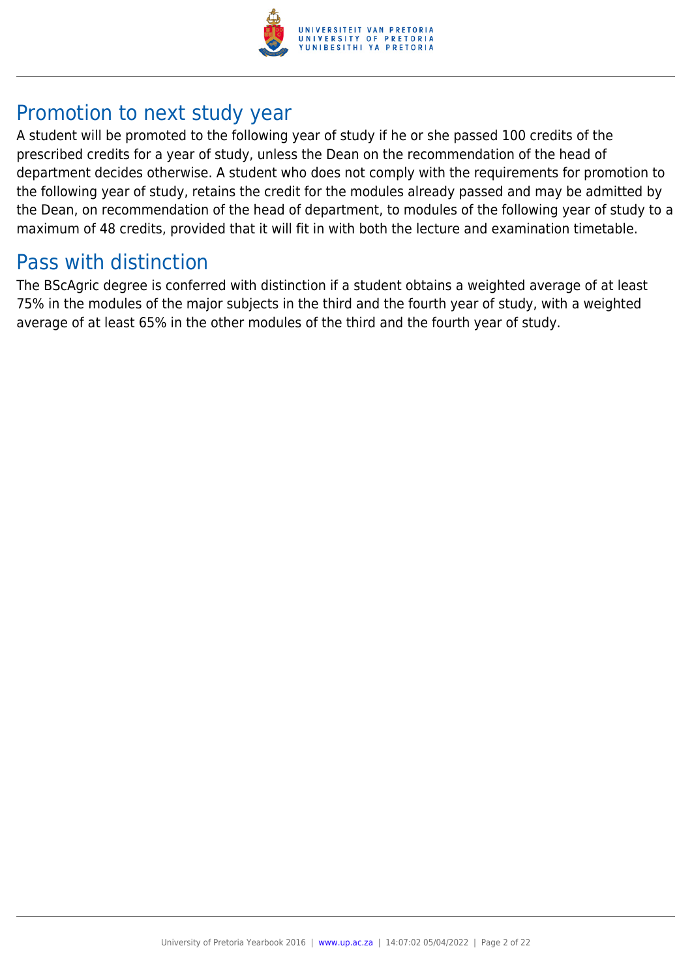

## Promotion to next study year

A student will be promoted to the following year of study if he or she passed 100 credits of the prescribed credits for a year of study, unless the Dean on the recommendation of the head of department decides otherwise. A student who does not comply with the requirements for promotion to the following year of study, retains the credit for the modules already passed and may be admitted by the Dean, on recommendation of the head of department, to modules of the following year of study to a maximum of 48 credits, provided that it will fit in with both the lecture and examination timetable.

## Pass with distinction

The BScAgric degree is conferred with distinction if a student obtains a weighted average of at least 75% in the modules of the major subjects in the third and the fourth year of study, with a weighted average of at least 65% in the other modules of the third and the fourth year of study.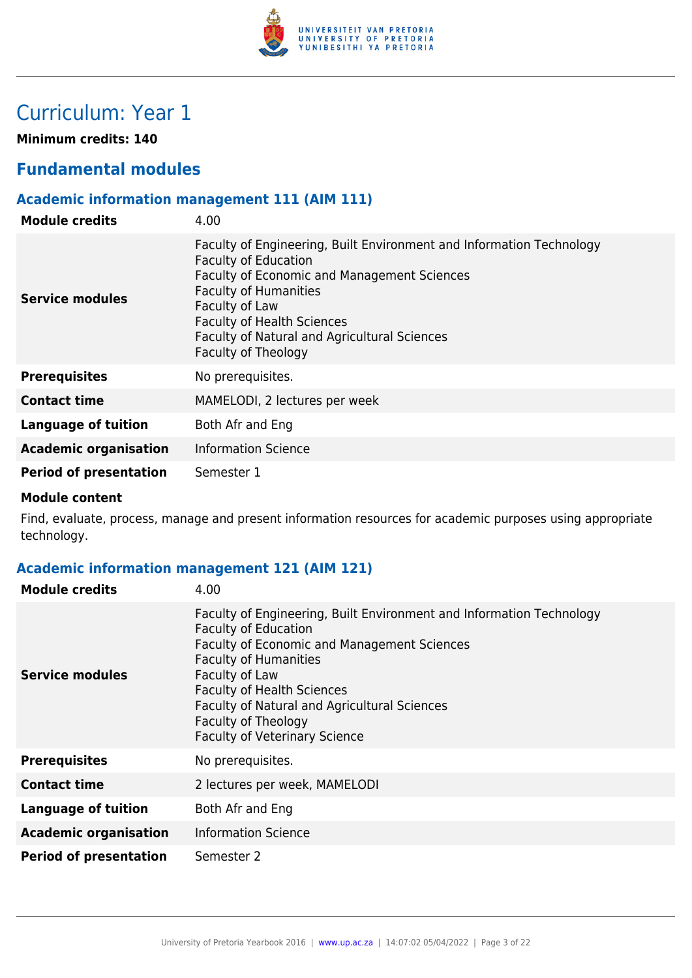

## Curriculum: Year 1

**Minimum credits: 140**

## **Fundamental modules**

### **Academic information management 111 (AIM 111)**

| <b>Module credits</b>         | 4.00                                                                                                                                                                                                                                                                                                                    |
|-------------------------------|-------------------------------------------------------------------------------------------------------------------------------------------------------------------------------------------------------------------------------------------------------------------------------------------------------------------------|
| <b>Service modules</b>        | Faculty of Engineering, Built Environment and Information Technology<br><b>Faculty of Education</b><br><b>Faculty of Economic and Management Sciences</b><br><b>Faculty of Humanities</b><br>Faculty of Law<br><b>Faculty of Health Sciences</b><br>Faculty of Natural and Agricultural Sciences<br>Faculty of Theology |
| <b>Prerequisites</b>          | No prerequisites.                                                                                                                                                                                                                                                                                                       |
| <b>Contact time</b>           | MAMELODI, 2 lectures per week                                                                                                                                                                                                                                                                                           |
| <b>Language of tuition</b>    | Both Afr and Eng                                                                                                                                                                                                                                                                                                        |
| <b>Academic organisation</b>  | <b>Information Science</b>                                                                                                                                                                                                                                                                                              |
| <b>Period of presentation</b> | Semester 1                                                                                                                                                                                                                                                                                                              |

#### **Module content**

Find, evaluate, process, manage and present information resources for academic purposes using appropriate technology.

### **Academic information management 121 (AIM 121)**

| <b>Module credits</b>         | 4.00                                                                                                                                                                                                                                                                                                                                                     |
|-------------------------------|----------------------------------------------------------------------------------------------------------------------------------------------------------------------------------------------------------------------------------------------------------------------------------------------------------------------------------------------------------|
| <b>Service modules</b>        | Faculty of Engineering, Built Environment and Information Technology<br><b>Faculty of Education</b><br>Faculty of Economic and Management Sciences<br><b>Faculty of Humanities</b><br>Faculty of Law<br><b>Faculty of Health Sciences</b><br>Faculty of Natural and Agricultural Sciences<br>Faculty of Theology<br><b>Faculty of Veterinary Science</b> |
| <b>Prerequisites</b>          | No prerequisites.                                                                                                                                                                                                                                                                                                                                        |
| <b>Contact time</b>           | 2 lectures per week, MAMELODI                                                                                                                                                                                                                                                                                                                            |
| <b>Language of tuition</b>    | Both Afr and Eng                                                                                                                                                                                                                                                                                                                                         |
| <b>Academic organisation</b>  | <b>Information Science</b>                                                                                                                                                                                                                                                                                                                               |
| <b>Period of presentation</b> | Semester 2                                                                                                                                                                                                                                                                                                                                               |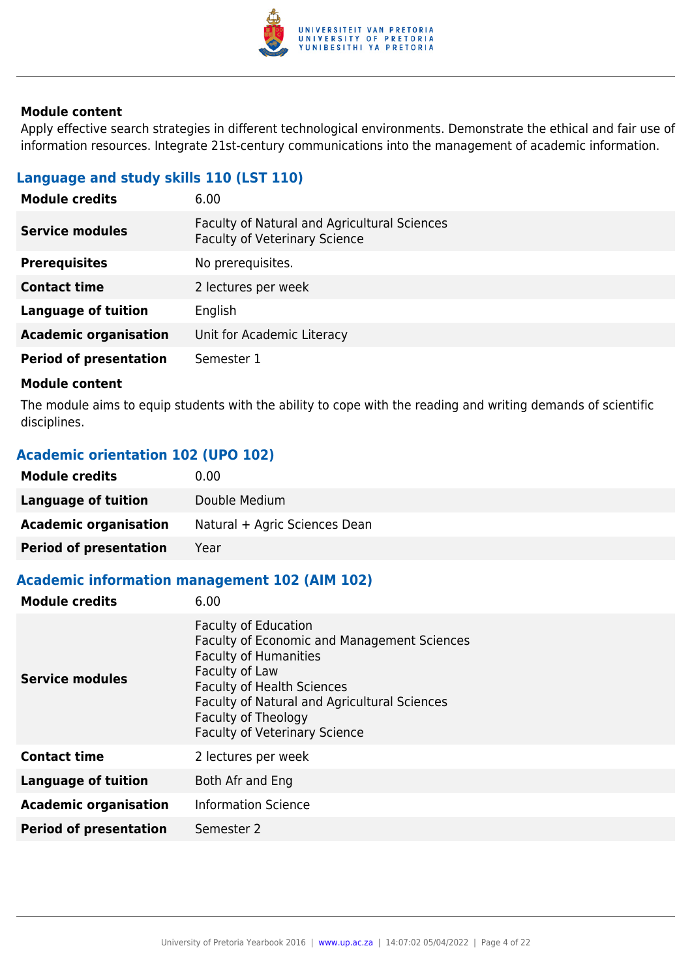

Apply effective search strategies in different technological environments. Demonstrate the ethical and fair use of information resources. Integrate 21st-century communications into the management of academic information.

### **Language and study skills 110 (LST 110)**

| 6.00                                                                                 |
|--------------------------------------------------------------------------------------|
| Faculty of Natural and Agricultural Sciences<br><b>Faculty of Veterinary Science</b> |
| No prerequisites.                                                                    |
| 2 lectures per week                                                                  |
| English                                                                              |
| Unit for Academic Literacy                                                           |
| Semester 1                                                                           |
|                                                                                      |

#### **Module content**

The module aims to equip students with the ability to cope with the reading and writing demands of scientific disciplines.

#### **Academic orientation 102 (UPO 102)**

| <b>Module credits</b>         | 0.00                          |
|-------------------------------|-------------------------------|
| Language of tuition           | Double Medium                 |
| <b>Academic organisation</b>  | Natural + Agric Sciences Dean |
| <b>Period of presentation</b> | Year                          |

### **Academic information management 102 (AIM 102)**

| <b>Module credits</b>         | 6.00                                                                                                                                                                                                                                                                                           |
|-------------------------------|------------------------------------------------------------------------------------------------------------------------------------------------------------------------------------------------------------------------------------------------------------------------------------------------|
| <b>Service modules</b>        | <b>Faculty of Education</b><br><b>Faculty of Economic and Management Sciences</b><br><b>Faculty of Humanities</b><br>Faculty of Law<br><b>Faculty of Health Sciences</b><br><b>Faculty of Natural and Agricultural Sciences</b><br>Faculty of Theology<br><b>Faculty of Veterinary Science</b> |
| <b>Contact time</b>           | 2 lectures per week                                                                                                                                                                                                                                                                            |
| <b>Language of tuition</b>    | Both Afr and Eng                                                                                                                                                                                                                                                                               |
| <b>Academic organisation</b>  | <b>Information Science</b>                                                                                                                                                                                                                                                                     |
| <b>Period of presentation</b> | Semester 2                                                                                                                                                                                                                                                                                     |
|                               |                                                                                                                                                                                                                                                                                                |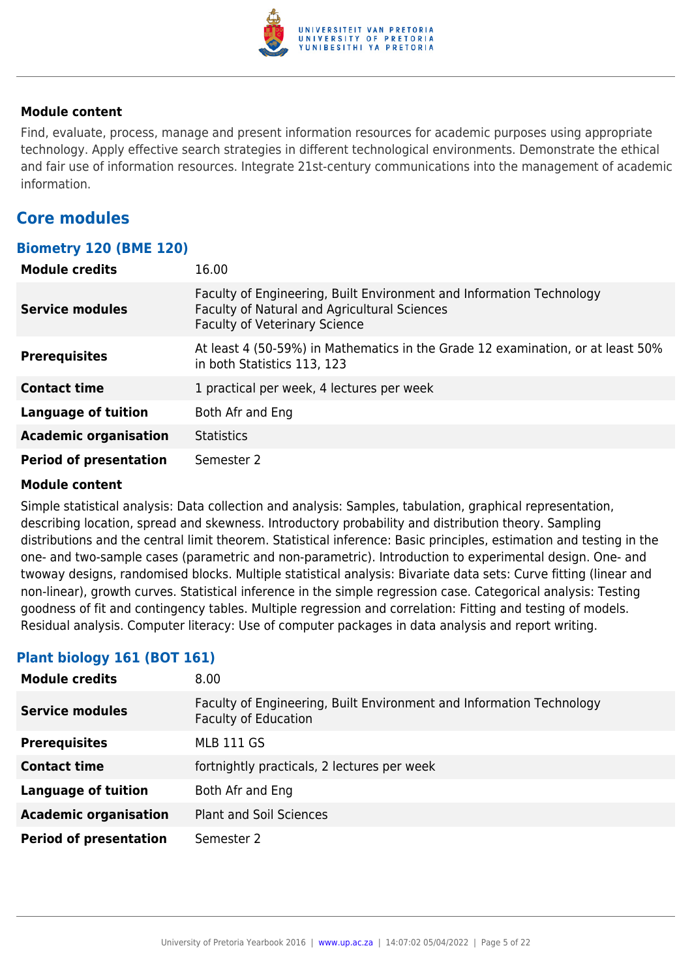

Find, evaluate, process, manage and present information resources for academic purposes using appropriate technology. Apply effective search strategies in different technological environments. Demonstrate the ethical and fair use of information resources. Integrate 21st-century communications into the management of academic information.

### **Core modules**

#### **Biometry 120 (BME 120)**

| <b>Module credits</b>         | 16.00                                                                                                                                                        |
|-------------------------------|--------------------------------------------------------------------------------------------------------------------------------------------------------------|
| <b>Service modules</b>        | Faculty of Engineering, Built Environment and Information Technology<br>Faculty of Natural and Agricultural Sciences<br><b>Faculty of Veterinary Science</b> |
| <b>Prerequisites</b>          | At least 4 (50-59%) in Mathematics in the Grade 12 examination, or at least 50%<br>in both Statistics 113, 123                                               |
| <b>Contact time</b>           | 1 practical per week, 4 lectures per week                                                                                                                    |
| <b>Language of tuition</b>    | Both Afr and Eng                                                                                                                                             |
| <b>Academic organisation</b>  | <b>Statistics</b>                                                                                                                                            |
| <b>Period of presentation</b> | Semester 2                                                                                                                                                   |

#### **Module content**

Simple statistical analysis: Data collection and analysis: Samples, tabulation, graphical representation, describing location, spread and skewness. Introductory probability and distribution theory. Sampling distributions and the central limit theorem. Statistical inference: Basic principles, estimation and testing in the one- and two-sample cases (parametric and non-parametric). Introduction to experimental design. One- and twoway designs, randomised blocks. Multiple statistical analysis: Bivariate data sets: Curve fitting (linear and non-linear), growth curves. Statistical inference in the simple regression case. Categorical analysis: Testing goodness of fit and contingency tables. Multiple regression and correlation: Fitting and testing of models. Residual analysis. Computer literacy: Use of computer packages in data analysis and report writing.

#### **Plant biology 161 (BOT 161)**

| <b>Module credits</b>         | 8.00                                                                                                |
|-------------------------------|-----------------------------------------------------------------------------------------------------|
| <b>Service modules</b>        | Faculty of Engineering, Built Environment and Information Technology<br><b>Faculty of Education</b> |
| <b>Prerequisites</b>          | <b>MLB 111 GS</b>                                                                                   |
| <b>Contact time</b>           | fortnightly practicals, 2 lectures per week                                                         |
| <b>Language of tuition</b>    | Both Afr and Eng                                                                                    |
| <b>Academic organisation</b>  | <b>Plant and Soil Sciences</b>                                                                      |
| <b>Period of presentation</b> | Semester 2                                                                                          |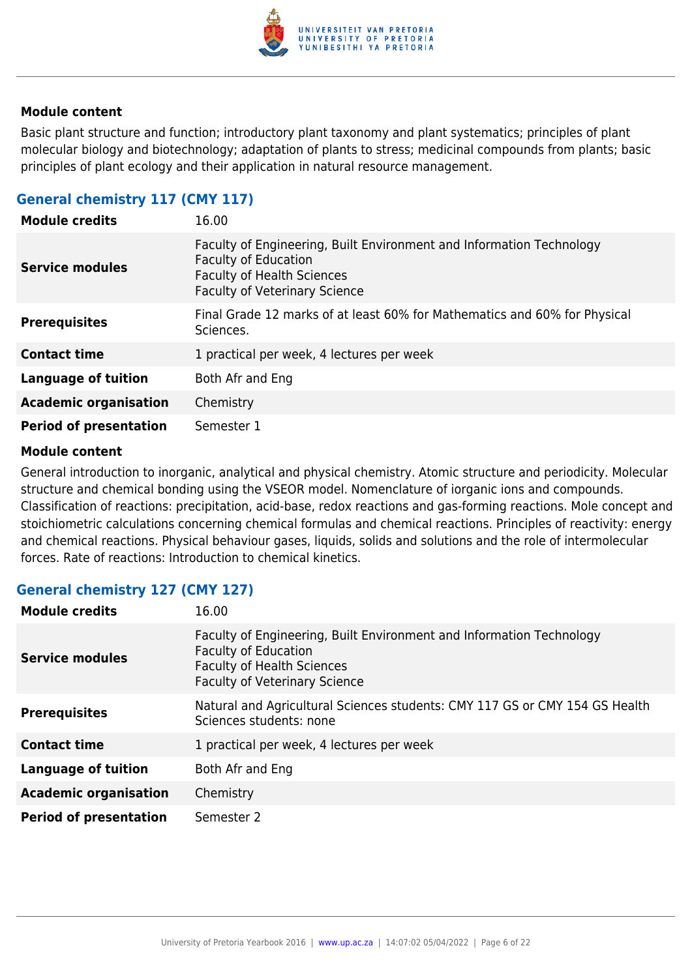

Basic plant structure and function; introductory plant taxonomy and plant systematics; principles of plant molecular biology and biotechnology; adaptation of plants to stress; medicinal compounds from plants; basic principles of plant ecology and their application in natural resource management.

#### **General chemistry 117 (CMY 117)**

| <b>Module credits</b>         | 16.00                                                                                                                                                                            |
|-------------------------------|----------------------------------------------------------------------------------------------------------------------------------------------------------------------------------|
| <b>Service modules</b>        | Faculty of Engineering, Built Environment and Information Technology<br><b>Faculty of Education</b><br><b>Faculty of Health Sciences</b><br><b>Faculty of Veterinary Science</b> |
| <b>Prerequisites</b>          | Final Grade 12 marks of at least 60% for Mathematics and 60% for Physical<br>Sciences.                                                                                           |
| <b>Contact time</b>           | 1 practical per week, 4 lectures per week                                                                                                                                        |
| <b>Language of tuition</b>    | Both Afr and Eng                                                                                                                                                                 |
| <b>Academic organisation</b>  | Chemistry                                                                                                                                                                        |
| <b>Period of presentation</b> | Semester 1                                                                                                                                                                       |

#### **Module content**

General introduction to inorganic, analytical and physical chemistry. Atomic structure and periodicity. Molecular structure and chemical bonding using the VSEOR model. Nomenclature of iorganic ions and compounds. Classification of reactions: precipitation, acid-base, redox reactions and gas-forming reactions. Mole concept and stoichiometric calculations concerning chemical formulas and chemical reactions. Principles of reactivity: energy and chemical reactions. Physical behaviour gases, liquids, solids and solutions and the role of intermolecular forces. Rate of reactions: Introduction to chemical kinetics.

#### **General chemistry 127 (CMY 127)**

| <b>Module credits</b>         | 16.00                                                                                                                                                                            |
|-------------------------------|----------------------------------------------------------------------------------------------------------------------------------------------------------------------------------|
| <b>Service modules</b>        | Faculty of Engineering, Built Environment and Information Technology<br><b>Faculty of Education</b><br><b>Faculty of Health Sciences</b><br><b>Faculty of Veterinary Science</b> |
| <b>Prerequisites</b>          | Natural and Agricultural Sciences students: CMY 117 GS or CMY 154 GS Health<br>Sciences students: none                                                                           |
| <b>Contact time</b>           | 1 practical per week, 4 lectures per week                                                                                                                                        |
| <b>Language of tuition</b>    | Both Afr and Eng                                                                                                                                                                 |
| <b>Academic organisation</b>  | Chemistry                                                                                                                                                                        |
| <b>Period of presentation</b> | Semester 2                                                                                                                                                                       |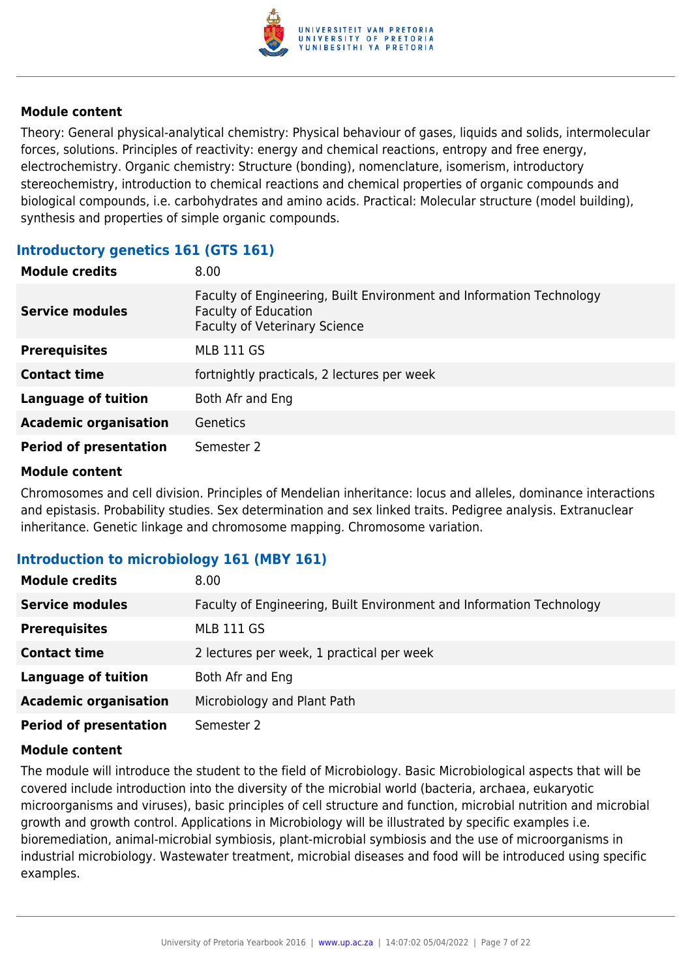

Theory: General physical-analytical chemistry: Physical behaviour of gases, liquids and solids, intermolecular forces, solutions. Principles of reactivity: energy and chemical reactions, entropy and free energy, electrochemistry. Organic chemistry: Structure (bonding), nomenclature, isomerism, introductory stereochemistry, introduction to chemical reactions and chemical properties of organic compounds and biological compounds, i.e. carbohydrates and amino acids. Practical: Molecular structure (model building), synthesis and properties of simple organic compounds.

#### **Introductory genetics 161 (GTS 161)**

| <b>Module credits</b>         | 8.00                                                                                                                                        |
|-------------------------------|---------------------------------------------------------------------------------------------------------------------------------------------|
| <b>Service modules</b>        | Faculty of Engineering, Built Environment and Information Technology<br><b>Faculty of Education</b><br><b>Faculty of Veterinary Science</b> |
| <b>Prerequisites</b>          | <b>MLB 111 GS</b>                                                                                                                           |
| <b>Contact time</b>           | fortnightly practicals, 2 lectures per week                                                                                                 |
| <b>Language of tuition</b>    | Both Afr and Eng                                                                                                                            |
| <b>Academic organisation</b>  | <b>Genetics</b>                                                                                                                             |
| <b>Period of presentation</b> | Semester 2                                                                                                                                  |

#### **Module content**

Chromosomes and cell division. Principles of Mendelian inheritance: locus and alleles, dominance interactions and epistasis. Probability studies. Sex determination and sex linked traits. Pedigree analysis. Extranuclear inheritance. Genetic linkage and chromosome mapping. Chromosome variation.

#### **Introduction to microbiology 161 (MBY 161)**

| <b>Module credits</b>         | 8.00                                                                 |
|-------------------------------|----------------------------------------------------------------------|
| <b>Service modules</b>        | Faculty of Engineering, Built Environment and Information Technology |
| <b>Prerequisites</b>          | <b>MLB 111 GS</b>                                                    |
| <b>Contact time</b>           | 2 lectures per week, 1 practical per week                            |
| <b>Language of tuition</b>    | Both Afr and Eng                                                     |
| <b>Academic organisation</b>  | Microbiology and Plant Path                                          |
| <b>Period of presentation</b> | Semester 2                                                           |

#### **Module content**

The module will introduce the student to the field of Microbiology. Basic Microbiological aspects that will be covered include introduction into the diversity of the microbial world (bacteria, archaea, eukaryotic microorganisms and viruses), basic principles of cell structure and function, microbial nutrition and microbial growth and growth control. Applications in Microbiology will be illustrated by specific examples i.e. bioremediation, animal-microbial symbiosis, plant-microbial symbiosis and the use of microorganisms in industrial microbiology. Wastewater treatment, microbial diseases and food will be introduced using specific examples.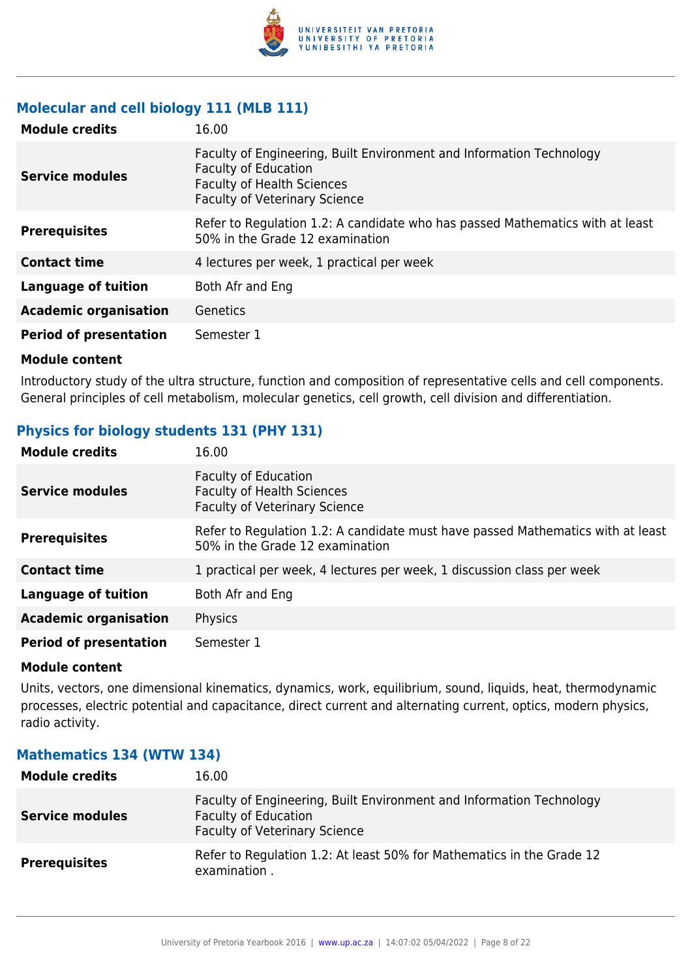

#### **Molecular and cell biology 111 (MLB 111)**

| <b>Module credits</b>         | 16.00                                                                                                                                                                            |
|-------------------------------|----------------------------------------------------------------------------------------------------------------------------------------------------------------------------------|
| <b>Service modules</b>        | Faculty of Engineering, Built Environment and Information Technology<br><b>Faculty of Education</b><br><b>Faculty of Health Sciences</b><br><b>Faculty of Veterinary Science</b> |
| <b>Prerequisites</b>          | Refer to Regulation 1.2: A candidate who has passed Mathematics with at least<br>50% in the Grade 12 examination                                                                 |
| <b>Contact time</b>           | 4 lectures per week, 1 practical per week                                                                                                                                        |
| <b>Language of tuition</b>    | Both Afr and Eng                                                                                                                                                                 |
| <b>Academic organisation</b>  | Genetics                                                                                                                                                                         |
| <b>Period of presentation</b> | Semester 1                                                                                                                                                                       |

#### **Module content**

Introductory study of the ultra structure, function and composition of representative cells and cell components. General principles of cell metabolism, molecular genetics, cell growth, cell division and differentiation.

#### **Physics for biology students 131 (PHY 131)**

| <b>Module credits</b>         | 16.00                                                                                                              |
|-------------------------------|--------------------------------------------------------------------------------------------------------------------|
| <b>Service modules</b>        | <b>Faculty of Education</b><br><b>Faculty of Health Sciences</b><br><b>Faculty of Veterinary Science</b>           |
| <b>Prerequisites</b>          | Refer to Regulation 1.2: A candidate must have passed Mathematics with at least<br>50% in the Grade 12 examination |
| <b>Contact time</b>           | 1 practical per week, 4 lectures per week, 1 discussion class per week                                             |
| <b>Language of tuition</b>    | Both Afr and Eng                                                                                                   |
| <b>Academic organisation</b>  | Physics                                                                                                            |
| <b>Period of presentation</b> | Semester 1                                                                                                         |

#### **Module content**

Units, vectors, one dimensional kinematics, dynamics, work, equilibrium, sound, liquids, heat, thermodynamic processes, electric potential and capacitance, direct current and alternating current, optics, modern physics, radio activity.

#### **Module credits** 16.00 **Service modules** Faculty of Engineering, Built Environment and Information Technology Faculty of Education Faculty of Veterinary Science **Prerequisites** Refer to Regulation 1.2: At least 50% for Mathematics in the Grade 12 examination .

#### **Mathematics 134 (WTW 134)**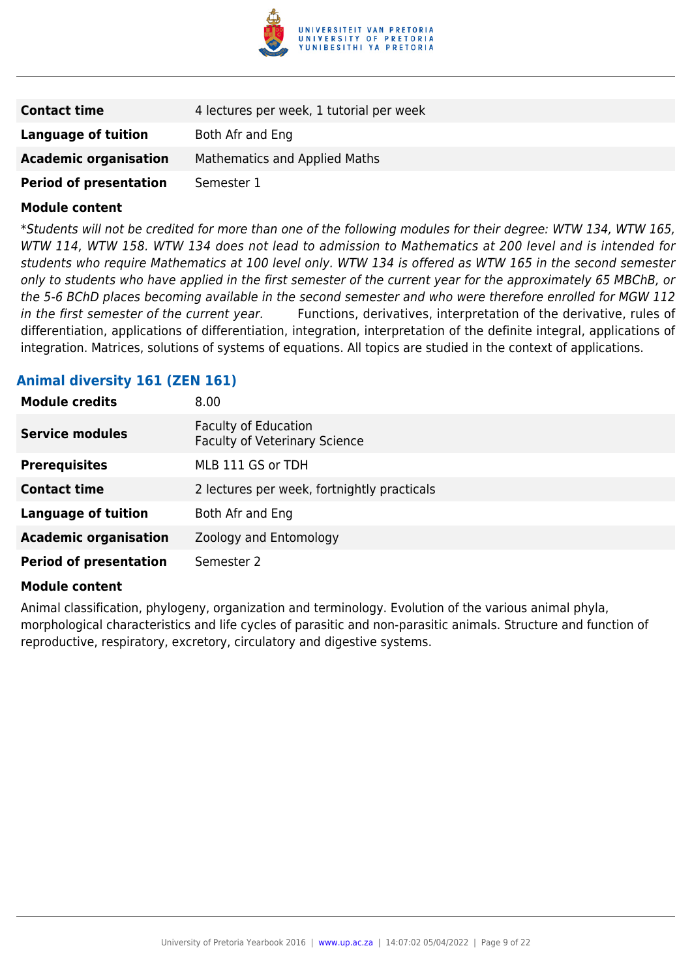

| <b>Contact time</b>           | 4 lectures per week, 1 tutorial per week |
|-------------------------------|------------------------------------------|
| Language of tuition           | Both Afr and Eng                         |
| <b>Academic organisation</b>  | Mathematics and Applied Maths            |
| <b>Period of presentation</b> | Semester 1                               |

\*Students will not be credited for more than one of the following modules for their degree: WTW 134, WTW 165, WTW 114, WTW 158. WTW 134 does not lead to admission to Mathematics at 200 level and is intended for students who require Mathematics at 100 level only. WTW 134 is offered as WTW 165 in the second semester only to students who have applied in the first semester of the current year for the approximately 65 MBChB, or the 5-6 BChD places becoming available in the second semester and who were therefore enrolled for MGW 112 in the first semester of the current year. Functions, derivatives, interpretation of the derivative, rules of differentiation, applications of differentiation, integration, interpretation of the definite integral, applications of integration. Matrices, solutions of systems of equations. All topics are studied in the context of applications.

#### **Animal diversity 161 (ZEN 161)**

| <b>Module credits</b>         | 8.00                                                                |
|-------------------------------|---------------------------------------------------------------------|
| <b>Service modules</b>        | <b>Faculty of Education</b><br><b>Faculty of Veterinary Science</b> |
| <b>Prerequisites</b>          | MLB 111 GS or TDH                                                   |
| <b>Contact time</b>           | 2 lectures per week, fortnightly practicals                         |
| <b>Language of tuition</b>    | Both Afr and Eng                                                    |
| <b>Academic organisation</b>  | Zoology and Entomology                                              |
| <b>Period of presentation</b> | Semester 2                                                          |

#### **Module content**

Animal classification, phylogeny, organization and terminology. Evolution of the various animal phyla, morphological characteristics and life cycles of parasitic and non-parasitic animals. Structure and function of reproductive, respiratory, excretory, circulatory and digestive systems.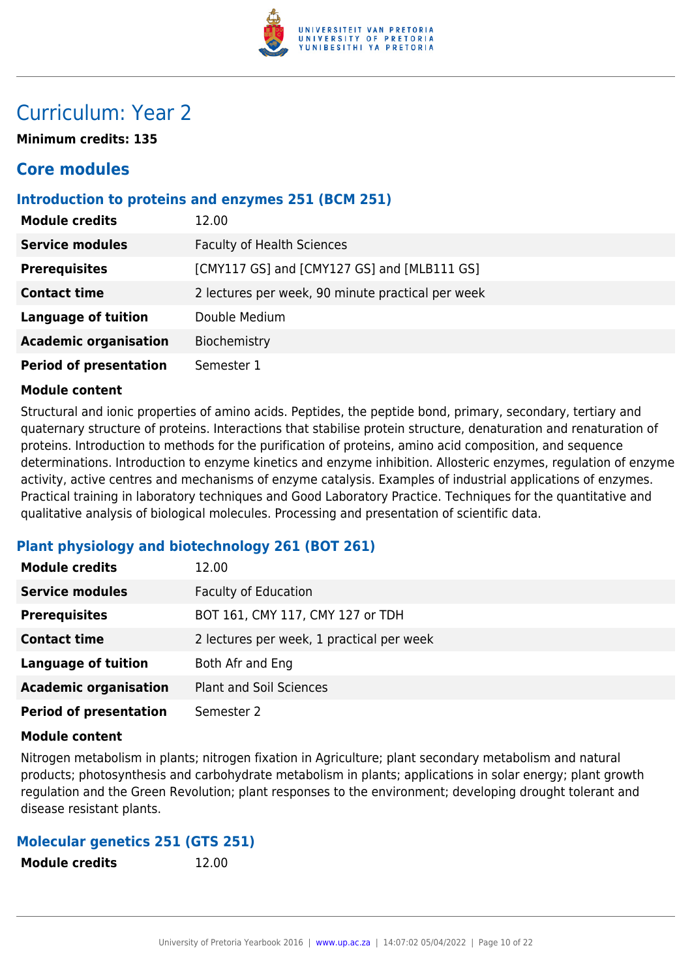

## Curriculum: Year 2

**Minimum credits: 135**

## **Core modules**

#### **Introduction to proteins and enzymes 251 (BCM 251)**

| <b>Module credits</b>         | 12.00                                             |
|-------------------------------|---------------------------------------------------|
| <b>Service modules</b>        | <b>Faculty of Health Sciences</b>                 |
| <b>Prerequisites</b>          | [CMY117 GS] and [CMY127 GS] and [MLB111 GS]       |
| <b>Contact time</b>           | 2 lectures per week, 90 minute practical per week |
| <b>Language of tuition</b>    | Double Medium                                     |
| <b>Academic organisation</b>  | Biochemistry                                      |
| <b>Period of presentation</b> | Semester 1                                        |

#### **Module content**

Structural and ionic properties of amino acids. Peptides, the peptide bond, primary, secondary, tertiary and quaternary structure of proteins. Interactions that stabilise protein structure, denaturation and renaturation of proteins. Introduction to methods for the purification of proteins, amino acid composition, and sequence determinations. Introduction to enzyme kinetics and enzyme inhibition. Allosteric enzymes, regulation of enzyme activity, active centres and mechanisms of enzyme catalysis. Examples of industrial applications of enzymes. Practical training in laboratory techniques and Good Laboratory Practice. Techniques for the quantitative and qualitative analysis of biological molecules. Processing and presentation of scientific data.

#### **Plant physiology and biotechnology 261 (BOT 261)**

| <b>Module credits</b>         | 12.00                                     |
|-------------------------------|-------------------------------------------|
| <b>Service modules</b>        | <b>Faculty of Education</b>               |
| <b>Prerequisites</b>          | BOT 161, CMY 117, CMY 127 or TDH          |
| <b>Contact time</b>           | 2 lectures per week, 1 practical per week |
| <b>Language of tuition</b>    | Both Afr and Eng                          |
| <b>Academic organisation</b>  | Plant and Soil Sciences                   |
| <b>Period of presentation</b> | Semester 2                                |

#### **Module content**

Nitrogen metabolism in plants; nitrogen fixation in Agriculture; plant secondary metabolism and natural products; photosynthesis and carbohydrate metabolism in plants; applications in solar energy; plant growth regulation and the Green Revolution; plant responses to the environment; developing drought tolerant and disease resistant plants.

#### **Molecular genetics 251 (GTS 251)**

**Module credits** 12.00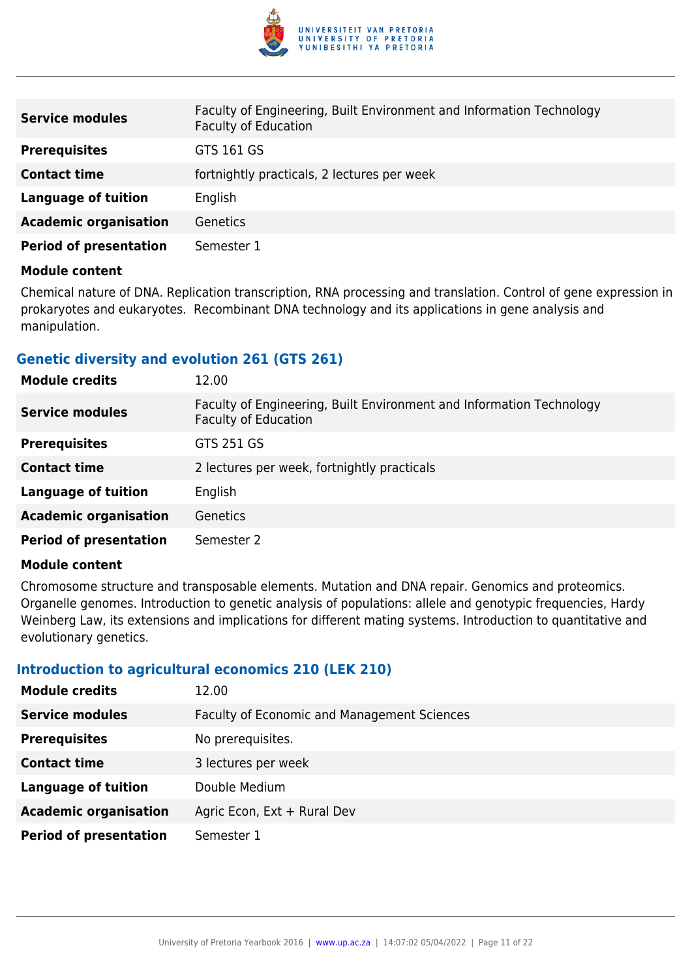

| <b>Service modules</b>        | Faculty of Engineering, Built Environment and Information Technology<br><b>Faculty of Education</b> |
|-------------------------------|-----------------------------------------------------------------------------------------------------|
| <b>Prerequisites</b>          | GTS 161 GS                                                                                          |
| <b>Contact time</b>           | fortnightly practicals, 2 lectures per week                                                         |
| Language of tuition           | English                                                                                             |
| <b>Academic organisation</b>  | Genetics                                                                                            |
| <b>Period of presentation</b> | Semester 1                                                                                          |

Chemical nature of DNA. Replication transcription, RNA processing and translation. Control of gene expression in prokaryotes and eukaryotes. Recombinant DNA technology and its applications in gene analysis and manipulation.

#### **Genetic diversity and evolution 261 (GTS 261)**

| <b>Module credits</b>         | 12.00                                                                                               |
|-------------------------------|-----------------------------------------------------------------------------------------------------|
| <b>Service modules</b>        | Faculty of Engineering, Built Environment and Information Technology<br><b>Faculty of Education</b> |
| <b>Prerequisites</b>          | GTS 251 GS                                                                                          |
| <b>Contact time</b>           | 2 lectures per week, fortnightly practicals                                                         |
| <b>Language of tuition</b>    | English                                                                                             |
| <b>Academic organisation</b>  | <b>Genetics</b>                                                                                     |
| <b>Period of presentation</b> | Semester 2                                                                                          |

#### **Module content**

Chromosome structure and transposable elements. Mutation and DNA repair. Genomics and proteomics. Organelle genomes. Introduction to genetic analysis of populations: allele and genotypic frequencies, Hardy Weinberg Law, its extensions and implications for different mating systems. Introduction to quantitative and evolutionary genetics.

#### **Introduction to agricultural economics 210 (LEK 210)**

| <b>Module credits</b>         | 12.00                                              |
|-------------------------------|----------------------------------------------------|
| <b>Service modules</b>        | <b>Faculty of Economic and Management Sciences</b> |
| <b>Prerequisites</b>          | No prerequisites.                                  |
| <b>Contact time</b>           | 3 lectures per week                                |
| <b>Language of tuition</b>    | Double Medium                                      |
| <b>Academic organisation</b>  | Agric Econ, Ext + Rural Dev                        |
| <b>Period of presentation</b> | Semester 1                                         |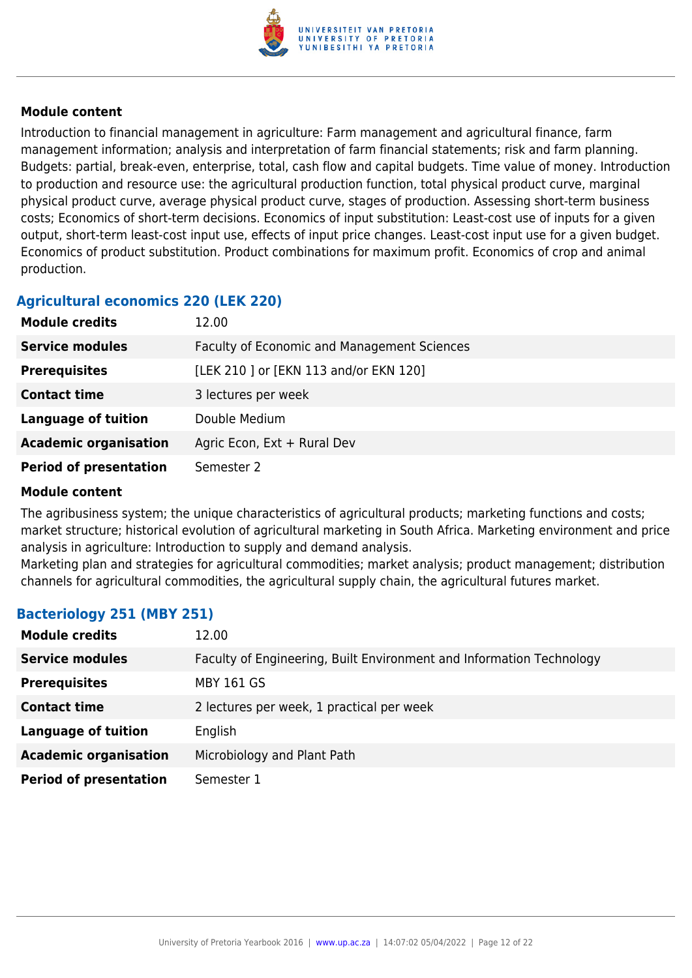

Introduction to financial management in agriculture: Farm management and agricultural finance, farm management information; analysis and interpretation of farm financial statements; risk and farm planning. Budgets: partial, break-even, enterprise, total, cash flow and capital budgets. Time value of money. Introduction to production and resource use: the agricultural production function, total physical product curve, marginal physical product curve, average physical product curve, stages of production. Assessing short-term business costs; Economics of short-term decisions. Economics of input substitution: Least-cost use of inputs for a given output, short-term least-cost input use, effects of input price changes. Least-cost input use for a given budget. Economics of product substitution. Product combinations for maximum profit. Economics of crop and animal production.

### **Agricultural economics 220 (LEK 220)**

| <b>Module credits</b>         | 12.00                                       |
|-------------------------------|---------------------------------------------|
| <b>Service modules</b>        | Faculty of Economic and Management Sciences |
| <b>Prerequisites</b>          | [LEK 210 ] or [EKN 113 and/or EKN 120]      |
| <b>Contact time</b>           | 3 lectures per week                         |
| <b>Language of tuition</b>    | Double Medium                               |
| <b>Academic organisation</b>  | Agric Econ, Ext + Rural Dev                 |
| <b>Period of presentation</b> | Semester 2                                  |

#### **Module content**

The agribusiness system; the unique characteristics of agricultural products; marketing functions and costs; market structure; historical evolution of agricultural marketing in South Africa. Marketing environment and price analysis in agriculture: Introduction to supply and demand analysis.

Marketing plan and strategies for agricultural commodities; market analysis; product management; distribution channels for agricultural commodities, the agricultural supply chain, the agricultural futures market.

#### **Bacteriology 251 (MBY 251)**

| <b>Module credits</b>         | 12.00                                                                |
|-------------------------------|----------------------------------------------------------------------|
| <b>Service modules</b>        | Faculty of Engineering, Built Environment and Information Technology |
| <b>Prerequisites</b>          | <b>MBY 161 GS</b>                                                    |
| <b>Contact time</b>           | 2 lectures per week, 1 practical per week                            |
| <b>Language of tuition</b>    | English                                                              |
| <b>Academic organisation</b>  | Microbiology and Plant Path                                          |
| <b>Period of presentation</b> | Semester 1                                                           |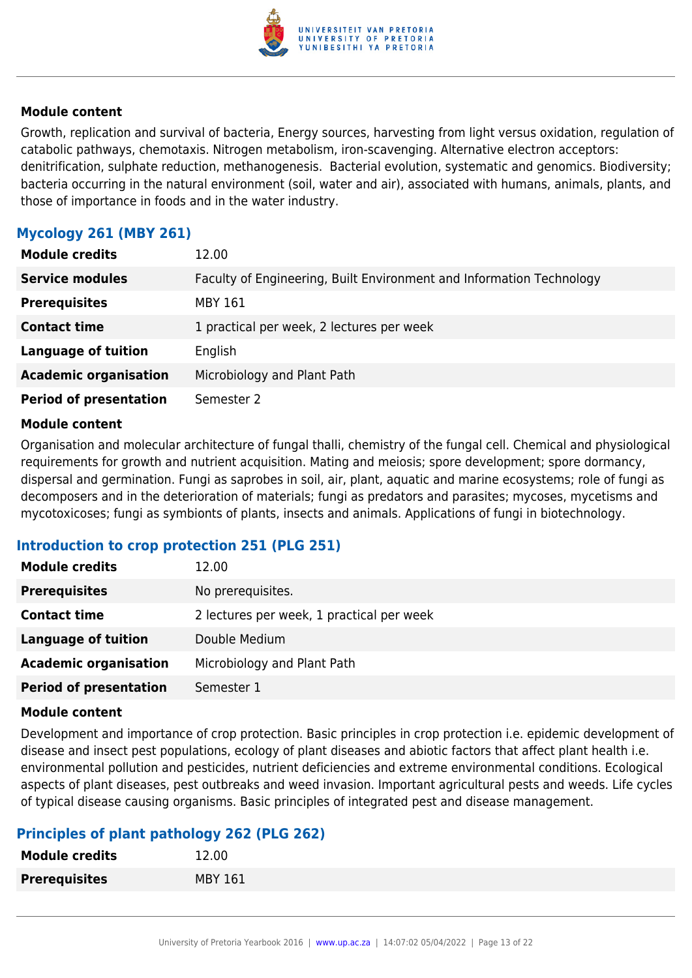

Growth, replication and survival of bacteria, Energy sources, harvesting from light versus oxidation, regulation of catabolic pathways, chemotaxis. Nitrogen metabolism, iron-scavenging. Alternative electron acceptors: denitrification, sulphate reduction, methanogenesis. Bacterial evolution, systematic and genomics. Biodiversity; bacteria occurring in the natural environment (soil, water and air), associated with humans, animals, plants, and those of importance in foods and in the water industry.

#### **Mycology 261 (MBY 261)**

| <b>Module credits</b>         | 12.00                                                                |
|-------------------------------|----------------------------------------------------------------------|
| <b>Service modules</b>        | Faculty of Engineering, Built Environment and Information Technology |
| <b>Prerequisites</b>          | MBY 161                                                              |
| <b>Contact time</b>           | 1 practical per week, 2 lectures per week                            |
| <b>Language of tuition</b>    | English                                                              |
| <b>Academic organisation</b>  | Microbiology and Plant Path                                          |
| <b>Period of presentation</b> | Semester 2                                                           |

#### **Module content**

Organisation and molecular architecture of fungal thalli, chemistry of the fungal cell. Chemical and physiological requirements for growth and nutrient acquisition. Mating and meiosis; spore development; spore dormancy, dispersal and germination. Fungi as saprobes in soil, air, plant, aquatic and marine ecosystems; role of fungi as decomposers and in the deterioration of materials; fungi as predators and parasites; mycoses, mycetisms and mycotoxicoses; fungi as symbionts of plants, insects and animals. Applications of fungi in biotechnology.

#### **Introduction to crop protection 251 (PLG 251)**

| <b>Module credits</b>         | 12.00                                     |
|-------------------------------|-------------------------------------------|
| <b>Prerequisites</b>          | No prerequisites.                         |
| <b>Contact time</b>           | 2 lectures per week, 1 practical per week |
| <b>Language of tuition</b>    | Double Medium                             |
| <b>Academic organisation</b>  | Microbiology and Plant Path               |
| <b>Period of presentation</b> | Semester 1                                |

#### **Module content**

Development and importance of crop protection. Basic principles in crop protection i.e. epidemic development of disease and insect pest populations, ecology of plant diseases and abiotic factors that affect plant health i.e. environmental pollution and pesticides, nutrient deficiencies and extreme environmental conditions. Ecological aspects of plant diseases, pest outbreaks and weed invasion. Important agricultural pests and weeds. Life cycles of typical disease causing organisms. Basic principles of integrated pest and disease management.

#### **Principles of plant pathology 262 (PLG 262)**

| <b>Module credits</b> | 12.00          |
|-----------------------|----------------|
| <b>Prerequisites</b>  | <b>MBY 161</b> |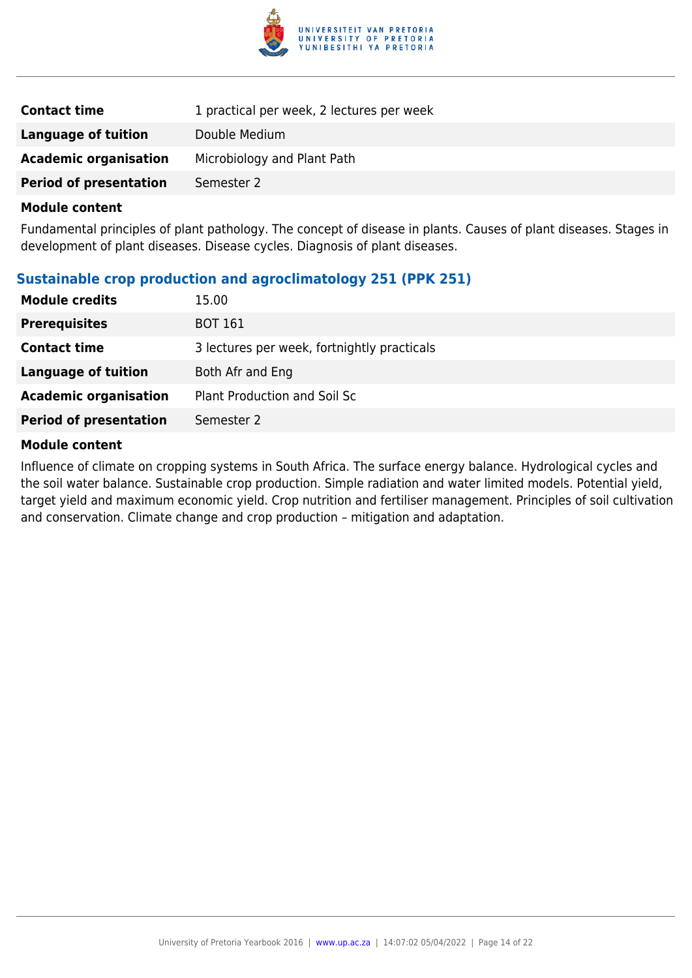

| <b>Contact time</b>           | 1 practical per week, 2 lectures per week |
|-------------------------------|-------------------------------------------|
| Language of tuition           | Double Medium                             |
| <b>Academic organisation</b>  | Microbiology and Plant Path               |
| <b>Period of presentation</b> | Semester 2                                |

Fundamental principles of plant pathology. The concept of disease in plants. Causes of plant diseases. Stages in development of plant diseases. Disease cycles. Diagnosis of plant diseases.

#### **Sustainable crop production and agroclimatology 251 (PPK 251)**

| <b>Module credits</b>         | 15.00                                       |
|-------------------------------|---------------------------------------------|
| <b>Prerequisites</b>          | <b>BOT 161</b>                              |
| <b>Contact time</b>           | 3 lectures per week, fortnightly practicals |
| Language of tuition           | Both Afr and Eng                            |
| <b>Academic organisation</b>  | Plant Production and Soil Sc                |
| <b>Period of presentation</b> | Semester 2                                  |

#### **Module content**

Influence of climate on cropping systems in South Africa. The surface energy balance. Hydrological cycles and the soil water balance. Sustainable crop production. Simple radiation and water limited models. Potential yield, target yield and maximum economic yield. Crop nutrition and fertiliser management. Principles of soil cultivation and conservation. Climate change and crop production – mitigation and adaptation.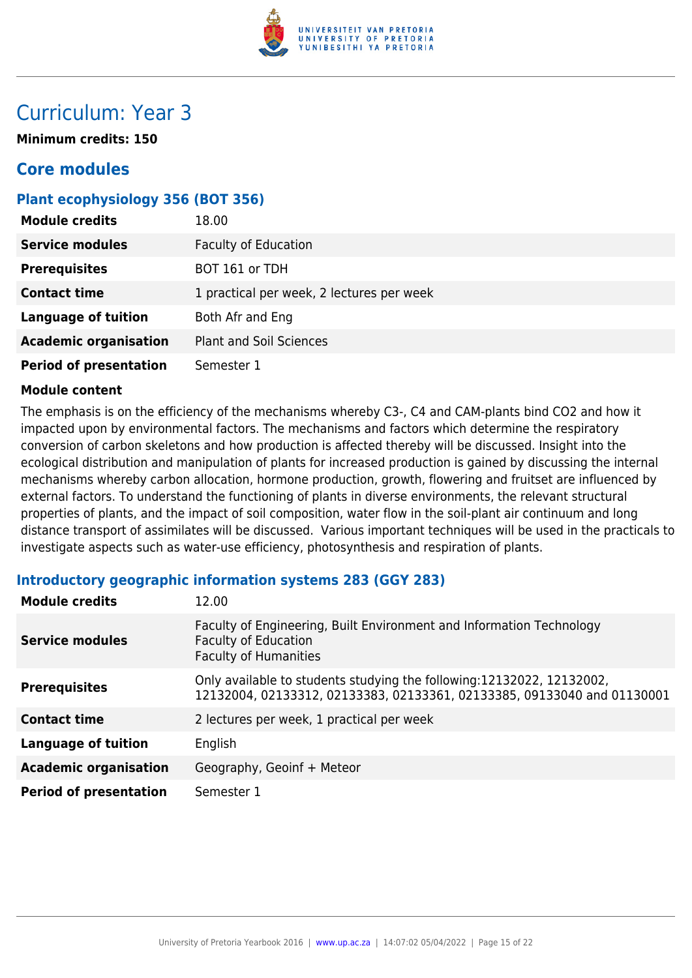

## Curriculum: Year 3

**Minimum credits: 150**

## **Core modules**

#### **Plant ecophysiology 356 (BOT 356)**

| <b>Module credits</b>         | 18.00                                     |
|-------------------------------|-------------------------------------------|
| <b>Service modules</b>        | <b>Faculty of Education</b>               |
| <b>Prerequisites</b>          | BOT 161 or TDH                            |
| <b>Contact time</b>           | 1 practical per week, 2 lectures per week |
| <b>Language of tuition</b>    | Both Afr and Eng                          |
| <b>Academic organisation</b>  | <b>Plant and Soil Sciences</b>            |
| <b>Period of presentation</b> | Semester 1                                |

#### **Module content**

The emphasis is on the efficiency of the mechanisms whereby C3-, C4 and CAM-plants bind CO2 and how it impacted upon by environmental factors. The mechanisms and factors which determine the respiratory conversion of carbon skeletons and how production is affected thereby will be discussed. Insight into the ecological distribution and manipulation of plants for increased production is gained by discussing the internal mechanisms whereby carbon allocation, hormone production, growth, flowering and fruitset are influenced by external factors. To understand the functioning of plants in diverse environments, the relevant structural properties of plants, and the impact of soil composition, water flow in the soil-plant air continuum and long distance transport of assimilates will be discussed. Various important techniques will be used in the practicals to investigate aspects such as water-use efficiency, photosynthesis and respiration of plants.

#### **Introductory geographic information systems 283 (GGY 283)**

| <b>Module credits</b>         | 12.00                                                                                                                                             |
|-------------------------------|---------------------------------------------------------------------------------------------------------------------------------------------------|
| <b>Service modules</b>        | Faculty of Engineering, Built Environment and Information Technology<br><b>Faculty of Education</b><br><b>Faculty of Humanities</b>               |
| <b>Prerequisites</b>          | Only available to students studying the following: 12132022, 12132002,<br>12132004, 02133312, 02133383, 02133361, 02133385, 09133040 and 01130001 |
| <b>Contact time</b>           | 2 lectures per week, 1 practical per week                                                                                                         |
| <b>Language of tuition</b>    | English                                                                                                                                           |
| <b>Academic organisation</b>  | Geography, Geoinf + Meteor                                                                                                                        |
| <b>Period of presentation</b> | Semester 1                                                                                                                                        |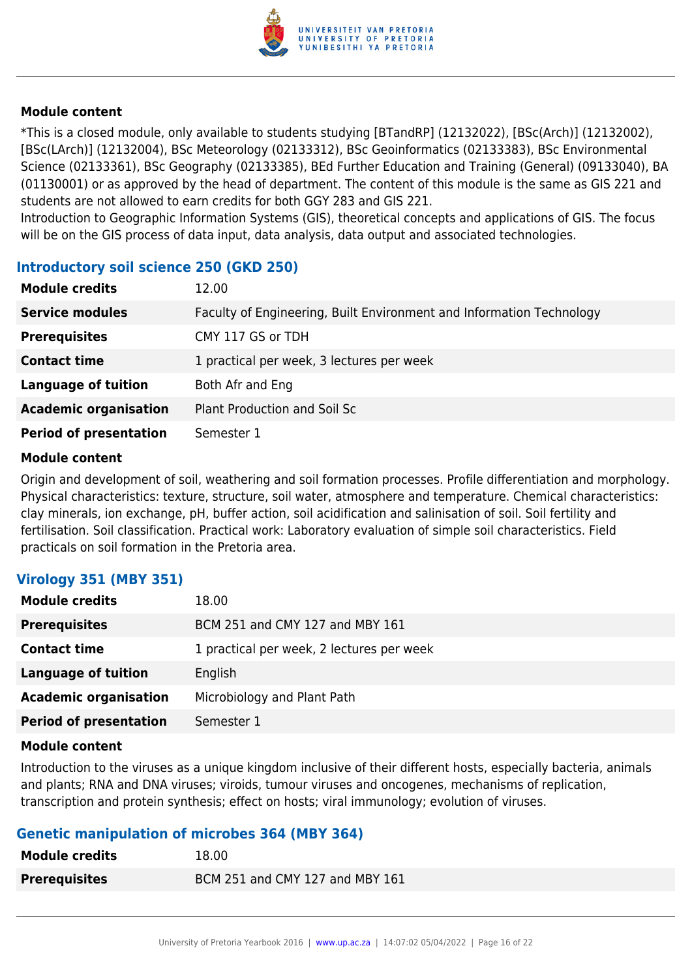

\*This is a closed module, only available to students studying [BTandRP] (12132022), [BSc(Arch)] (12132002), [BSc(LArch)] (12132004), BSc Meteorology (02133312), BSc Geoinformatics (02133383), BSc Environmental Science (02133361), BSc Geography (02133385), BEd Further Education and Training (General) (09133040), BA (01130001) or as approved by the head of department. The content of this module is the same as GIS 221 and students are not allowed to earn credits for both GGY 283 and GIS 221.

Introduction to Geographic Information Systems (GIS), theoretical concepts and applications of GIS. The focus will be on the GIS process of data input, data analysis, data output and associated technologies.

#### **Introductory soil science 250 (GKD 250)**

| <b>Module credits</b>         | 12.00                                                                |
|-------------------------------|----------------------------------------------------------------------|
| <b>Service modules</b>        | Faculty of Engineering, Built Environment and Information Technology |
| <b>Prerequisites</b>          | CMY 117 GS or TDH                                                    |
| <b>Contact time</b>           | 1 practical per week, 3 lectures per week                            |
| <b>Language of tuition</b>    | Both Afr and Eng                                                     |
| <b>Academic organisation</b>  | Plant Production and Soil Sc                                         |
| <b>Period of presentation</b> | Semester 1                                                           |

#### **Module content**

Origin and development of soil, weathering and soil formation processes. Profile differentiation and morphology. Physical characteristics: texture, structure, soil water, atmosphere and temperature. Chemical characteristics: clay minerals, ion exchange, pH, buffer action, soil acidification and salinisation of soil. Soil fertility and fertilisation. Soil classification. Practical work: Laboratory evaluation of simple soil characteristics. Field practicals on soil formation in the Pretoria area.

#### **Virology 351 (MBY 351)**

| <b>Module credits</b>         | 18.00                                     |
|-------------------------------|-------------------------------------------|
| <b>Prerequisites</b>          | BCM 251 and CMY 127 and MBY 161           |
| <b>Contact time</b>           | 1 practical per week, 2 lectures per week |
| <b>Language of tuition</b>    | English                                   |
| <b>Academic organisation</b>  | Microbiology and Plant Path               |
| <b>Period of presentation</b> | Semester 1                                |

#### **Module content**

Introduction to the viruses as a unique kingdom inclusive of their different hosts, especially bacteria, animals and plants; RNA and DNA viruses; viroids, tumour viruses and oncogenes, mechanisms of replication, transcription and protein synthesis; effect on hosts; viral immunology; evolution of viruses.

#### **Genetic manipulation of microbes 364 (MBY 364)**

| <b>Module credits</b> | 18.00                           |
|-----------------------|---------------------------------|
| <b>Prerequisites</b>  | BCM 251 and CMY 127 and MBY 161 |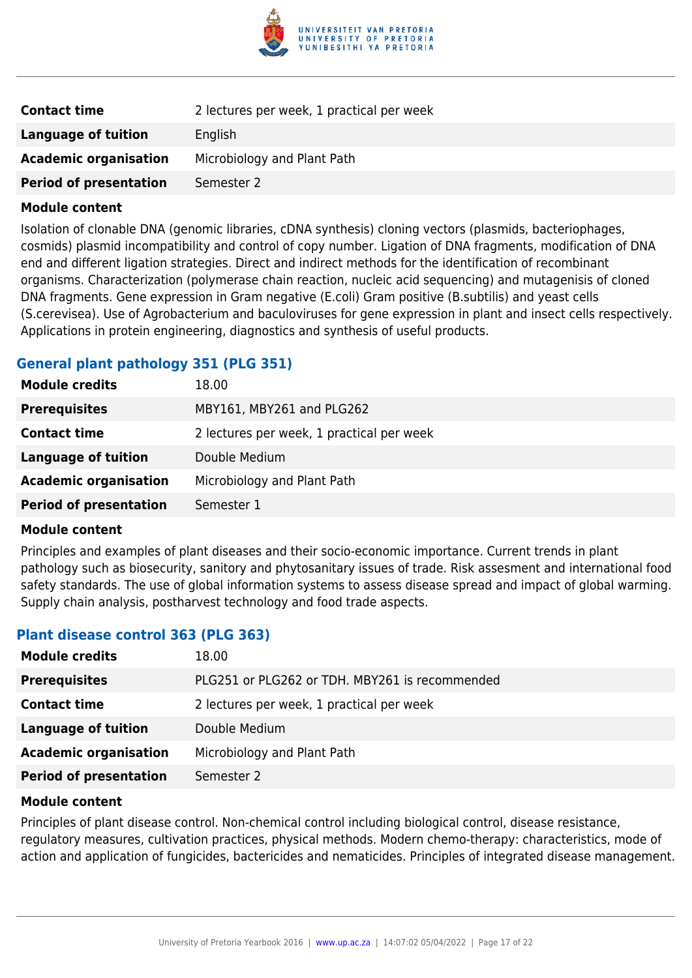

| <b>Contact time</b>           | 2 lectures per week, 1 practical per week |
|-------------------------------|-------------------------------------------|
| Language of tuition           | English                                   |
| <b>Academic organisation</b>  | Microbiology and Plant Path               |
| <b>Period of presentation</b> | Semester 2                                |

Isolation of clonable DNA (genomic libraries, cDNA synthesis) cloning vectors (plasmids, bacteriophages, cosmids) plasmid incompatibility and control of copy number. Ligation of DNA fragments, modification of DNA end and different ligation strategies. Direct and indirect methods for the identification of recombinant organisms. Characterization (polymerase chain reaction, nucleic acid sequencing) and mutagenisis of cloned DNA fragments. Gene expression in Gram negative (E.coli) Gram positive (B.subtilis) and yeast cells (S.cerevisea). Use of Agrobacterium and baculoviruses for gene expression in plant and insect cells respectively. Applications in protein engineering, diagnostics and synthesis of useful products.

#### **General plant pathology 351 (PLG 351)**

| <b>Module credits</b>         | 18.00                                     |
|-------------------------------|-------------------------------------------|
| <b>Prerequisites</b>          | MBY161, MBY261 and PLG262                 |
| <b>Contact time</b>           | 2 lectures per week, 1 practical per week |
| Language of tuition           | Double Medium                             |
| <b>Academic organisation</b>  | Microbiology and Plant Path               |
| <b>Period of presentation</b> | Semester 1                                |

#### **Module content**

Principles and examples of plant diseases and their socio-economic importance. Current trends in plant pathology such as biosecurity, sanitory and phytosanitary issues of trade. Risk assesment and international food safety standards. The use of global information systems to assess disease spread and impact of global warming. Supply chain analysis, postharvest technology and food trade aspects.

#### **Plant disease control 363 (PLG 363)**

| <b>Module credits</b>         | 18.00                                          |
|-------------------------------|------------------------------------------------|
| <b>Prerequisites</b>          | PLG251 or PLG262 or TDH. MBY261 is recommended |
| <b>Contact time</b>           | 2 lectures per week, 1 practical per week      |
| <b>Language of tuition</b>    | Double Medium                                  |
| <b>Academic organisation</b>  | Microbiology and Plant Path                    |
| <b>Period of presentation</b> | Semester 2                                     |
|                               |                                                |

#### **Module content**

Principles of plant disease control. Non-chemical control including biological control, disease resistance, regulatory measures, cultivation practices, physical methods. Modern chemo-therapy: characteristics, mode of action and application of fungicides, bactericides and nematicides. Principles of integrated disease management.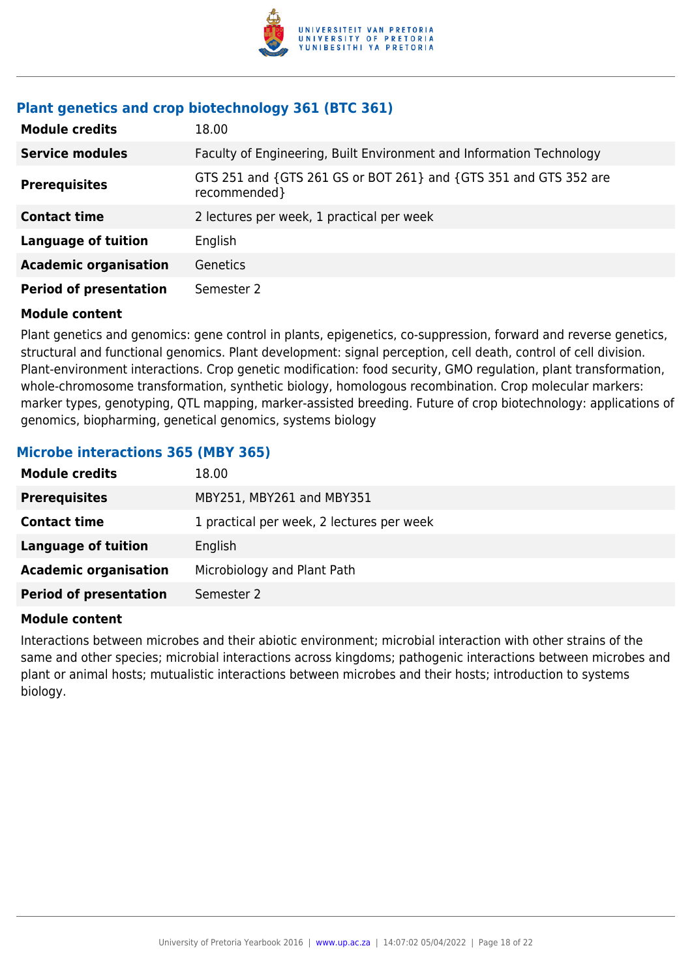

### **Plant genetics and crop biotechnology 361 (BTC 361)**

| <b>Module credits</b>         | 18.00                                                                            |
|-------------------------------|----------------------------------------------------------------------------------|
| <b>Service modules</b>        | Faculty of Engineering, Built Environment and Information Technology             |
| <b>Prerequisites</b>          | GTS 251 and {GTS 261 GS or BOT 261} and {GTS 351 and GTS 352 are<br>recommended} |
| <b>Contact time</b>           | 2 lectures per week, 1 practical per week                                        |
| <b>Language of tuition</b>    | English                                                                          |
| <b>Academic organisation</b>  | <b>Genetics</b>                                                                  |
| <b>Period of presentation</b> | Semester 2                                                                       |

#### **Module content**

Plant genetics and genomics: gene control in plants, epigenetics, co-suppression, forward and reverse genetics, structural and functional genomics. Plant development: signal perception, cell death, control of cell division. Plant-environment interactions. Crop genetic modification: food security, GMO regulation, plant transformation, whole-chromosome transformation, synthetic biology, homologous recombination. Crop molecular markers: marker types, genotyping, QTL mapping, marker-assisted breeding. Future of crop biotechnology: applications of genomics, biopharming, genetical genomics, systems biology

#### **Microbe interactions 365 (MBY 365)**

| <b>Module credits</b>         | 18.00                                     |
|-------------------------------|-------------------------------------------|
| <b>Prerequisites</b>          | MBY251, MBY261 and MBY351                 |
| <b>Contact time</b>           | 1 practical per week, 2 lectures per week |
| <b>Language of tuition</b>    | English                                   |
| <b>Academic organisation</b>  | Microbiology and Plant Path               |
| <b>Period of presentation</b> | Semester 2                                |

#### **Module content**

Interactions between microbes and their abiotic environment; microbial interaction with other strains of the same and other species; microbial interactions across kingdoms; pathogenic interactions between microbes and plant or animal hosts; mutualistic interactions between microbes and their hosts; introduction to systems biology.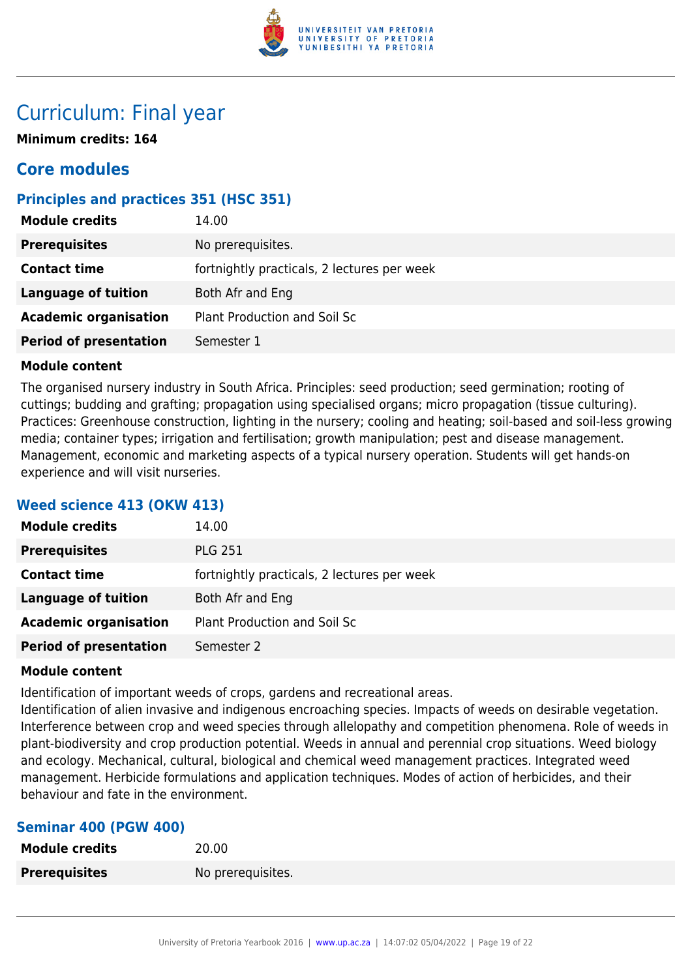

## Curriculum: Final year

**Minimum credits: 164**

## **Core modules**

### **Principles and practices 351 (HSC 351)**

| <b>Module credits</b>         | 14.00                                       |
|-------------------------------|---------------------------------------------|
| <b>Prerequisites</b>          | No prerequisites.                           |
| <b>Contact time</b>           | fortnightly practicals, 2 lectures per week |
| <b>Language of tuition</b>    | Both Afr and Eng                            |
| <b>Academic organisation</b>  | Plant Production and Soil Sc                |
| <b>Period of presentation</b> | Semester 1                                  |

#### **Module content**

The organised nursery industry in South Africa. Principles: seed production; seed germination; rooting of cuttings; budding and grafting; propagation using specialised organs; micro propagation (tissue culturing). Practices: Greenhouse construction, lighting in the nursery; cooling and heating; soil-based and soil-less growing media; container types; irrigation and fertilisation; growth manipulation; pest and disease management. Management, economic and marketing aspects of a typical nursery operation. Students will get hands-on experience and will visit nurseries.

#### **Weed science 413 (OKW 413)**

| <b>Module credits</b>         | 14.00                                       |
|-------------------------------|---------------------------------------------|
| <b>Prerequisites</b>          | <b>PLG 251</b>                              |
| <b>Contact time</b>           | fortnightly practicals, 2 lectures per week |
| <b>Language of tuition</b>    | Both Afr and Eng                            |
| <b>Academic organisation</b>  | Plant Production and Soil Sc                |
| <b>Period of presentation</b> | Semester 2                                  |

#### **Module content**

Identification of important weeds of crops, gardens and recreational areas.

Identification of alien invasive and indigenous encroaching species. Impacts of weeds on desirable vegetation. Interference between crop and weed species through allelopathy and competition phenomena. Role of weeds in plant-biodiversity and crop production potential. Weeds in annual and perennial crop situations. Weed biology and ecology. Mechanical, cultural, biological and chemical weed management practices. Integrated weed management. Herbicide formulations and application techniques. Modes of action of herbicides, and their behaviour and fate in the environment.

#### **Seminar 400 (PGW 400)**

| <b>Module credits</b> | 20.00             |
|-----------------------|-------------------|
| <b>Prerequisites</b>  | No prerequisites. |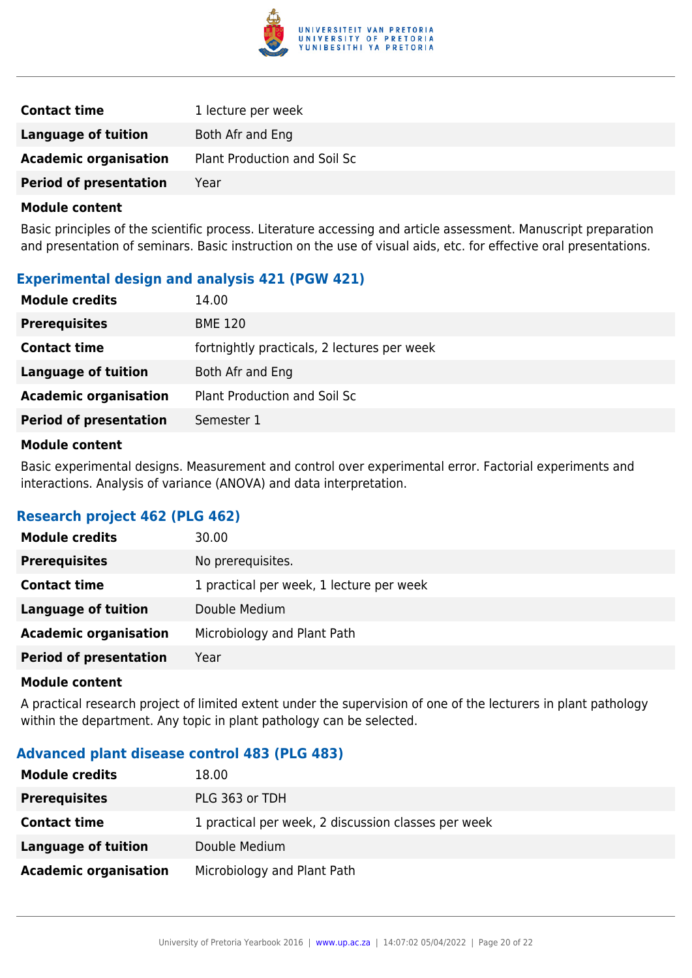

| <b>Contact time</b>           | 1 lecture per week           |
|-------------------------------|------------------------------|
| Language of tuition           | Both Afr and Eng             |
| <b>Academic organisation</b>  | Plant Production and Soil Sc |
| <b>Period of presentation</b> | Year                         |

Basic principles of the scientific process. Literature accessing and article assessment. Manuscript preparation and presentation of seminars. Basic instruction on the use of visual aids, etc. for effective oral presentations.

#### **Experimental design and analysis 421 (PGW 421)**

| <b>Module credits</b>         | 14.00                                       |
|-------------------------------|---------------------------------------------|
| <b>Prerequisites</b>          | <b>BME 120</b>                              |
| <b>Contact time</b>           | fortnightly practicals, 2 lectures per week |
| Language of tuition           | Both Afr and Eng                            |
| <b>Academic organisation</b>  | <b>Plant Production and Soil Sc</b>         |
| <b>Period of presentation</b> | Semester 1                                  |

#### **Module content**

Basic experimental designs. Measurement and control over experimental error. Factorial experiments and interactions. Analysis of variance (ANOVA) and data interpretation.

#### **Research project 462 (PLG 462)**

| <b>Module credits</b>         | 30.00                                    |
|-------------------------------|------------------------------------------|
| <b>Prerequisites</b>          | No prerequisites.                        |
| <b>Contact time</b>           | 1 practical per week, 1 lecture per week |
| <b>Language of tuition</b>    | Double Medium                            |
| <b>Academic organisation</b>  | Microbiology and Plant Path              |
| <b>Period of presentation</b> | Year                                     |

#### **Module content**

A practical research project of limited extent under the supervision of one of the lecturers in plant pathology within the department. Any topic in plant pathology can be selected.

#### **Advanced plant disease control 483 (PLG 483)**

| <b>Module credits</b>        | 18.00                                               |
|------------------------------|-----------------------------------------------------|
| <b>Prerequisites</b>         | PLG 363 or TDH                                      |
| <b>Contact time</b>          | 1 practical per week, 2 discussion classes per week |
| Language of tuition          | Double Medium                                       |
| <b>Academic organisation</b> | Microbiology and Plant Path                         |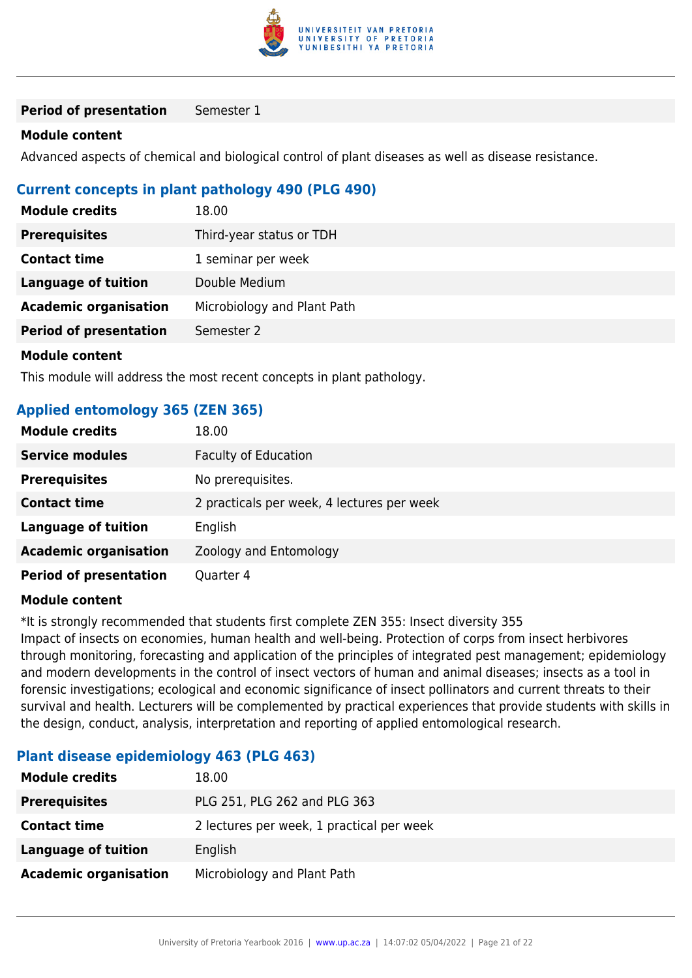

**Period of presentation** Semester 1

#### **Module content**

Advanced aspects of chemical and biological control of plant diseases as well as disease resistance.

#### **Current concepts in plant pathology 490 (PLG 490)**

| <b>Module credits</b>         | 18.00                       |
|-------------------------------|-----------------------------|
| <b>Prerequisites</b>          | Third-year status or TDH    |
| <b>Contact time</b>           | 1 seminar per week          |
| <b>Language of tuition</b>    | Double Medium               |
| <b>Academic organisation</b>  | Microbiology and Plant Path |
| <b>Period of presentation</b> | Semester 2                  |
| <b>Module content</b>         |                             |

This module will address the most recent concepts in plant pathology.

#### **Applied entomology 365 (ZEN 365)**

| <b>Module credits</b>         | 18.00                                      |
|-------------------------------|--------------------------------------------|
| <b>Service modules</b>        | <b>Faculty of Education</b>                |
| <b>Prerequisites</b>          | No prerequisites.                          |
| <b>Contact time</b>           | 2 practicals per week, 4 lectures per week |
| <b>Language of tuition</b>    | English                                    |
| <b>Academic organisation</b>  | Zoology and Entomology                     |
| <b>Period of presentation</b> | Quarter 4                                  |

#### **Module content**

\*It is strongly recommended that students first complete ZEN 355: Insect diversity 355 Impact of insects on economies, human health and well-being. Protection of corps from insect herbivores through monitoring, forecasting and application of the principles of integrated pest management; epidemiology and modern developments in the control of insect vectors of human and animal diseases; insects as a tool in forensic investigations; ecological and economic significance of insect pollinators and current threats to their survival and health. Lecturers will be complemented by practical experiences that provide students with skills in the design, conduct, analysis, interpretation and reporting of applied entomological research.

#### **Plant disease epidemiology 463 (PLG 463)**

| <b>Module credits</b>        | 18.00                                     |
|------------------------------|-------------------------------------------|
| <b>Prerequisites</b>         | PLG 251, PLG 262 and PLG 363              |
| <b>Contact time</b>          | 2 lectures per week, 1 practical per week |
| Language of tuition          | English                                   |
| <b>Academic organisation</b> | Microbiology and Plant Path               |